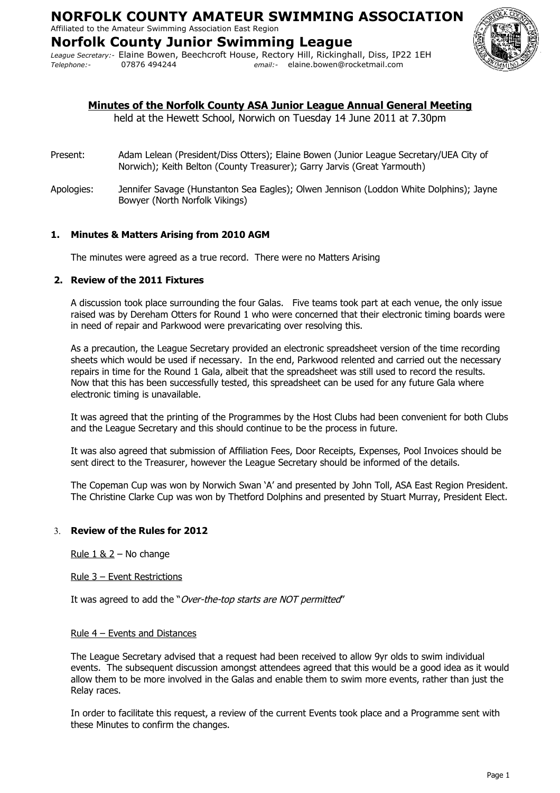# Affiliated to the Amateur Swimming Association East Region

**Norfolk County Junior Swimming League** *League Secretary:-* Elaine Bowen, Beechcroft House, Rectory Hill, Rickinghall, Diss, IP22 1EH *Telephone:-* 07876 494244 *email:-* elaine.bowen@rocketmail.com



## **Minutes of the Norfolk County ASA Junior League Annual General Meeting**

held at the Hewett School, Norwich on Tuesday 14 June 2011 at 7.30pm

- Present: Adam Lelean (President/Diss Otters); Elaine Bowen (Junior League Secretary/UEA City of Norwich); Keith Belton (County Treasurer); Garry Jarvis (Great Yarmouth)
- Apologies: Jennifer Savage (Hunstanton Sea Eagles); Olwen Jennison (Loddon White Dolphins); Jayne Bowyer (North Norfolk Vikings)

## **1. Minutes & Matters Arising from 2010 AGM**

The minutes were agreed as a true record. There were no Matters Arising

## **2. Review of the 2011 Fixtures**

A discussion took place surrounding the four Galas. Five teams took part at each venue, the only issue raised was by Dereham Otters for Round 1 who were concerned that their electronic timing boards were in need of repair and Parkwood were prevaricating over resolving this.

As a precaution, the League Secretary provided an electronic spreadsheet version of the time recording sheets which would be used if necessary. In the end, Parkwood relented and carried out the necessary repairs in time for the Round 1 Gala, albeit that the spreadsheet was still used to record the results. Now that this has been successfully tested, this spreadsheet can be used for any future Gala where electronic timing is unavailable.

It was agreed that the printing of the Programmes by the Host Clubs had been convenient for both Clubs and the League Secretary and this should continue to be the process in future.

It was also agreed that submission of Affiliation Fees, Door Receipts, Expenses, Pool Invoices should be sent direct to the Treasurer, however the League Secretary should be informed of the details.

The Copeman Cup was won by Norwich Swan 'A' and presented by John Toll, ASA East Region President. The Christine Clarke Cup was won by Thetford Dolphins and presented by Stuart Murray, President Elect.

## 3. **Review of the Rules for 2012**

Rule  $1$  &  $2 -$  No change

Rule 3 – Event Restrictions

It was agreed to add the "Over-the-top starts are NOT permitted"

#### Rule 4 – Events and Distances

The League Secretary advised that a request had been received to allow 9yr olds to swim individual events. The subsequent discussion amongst attendees agreed that this would be a good idea as it would allow them to be more involved in the Galas and enable them to swim more events, rather than just the Relay races.

In order to facilitate this request, a review of the current Events took place and a Programme sent with these Minutes to confirm the changes.